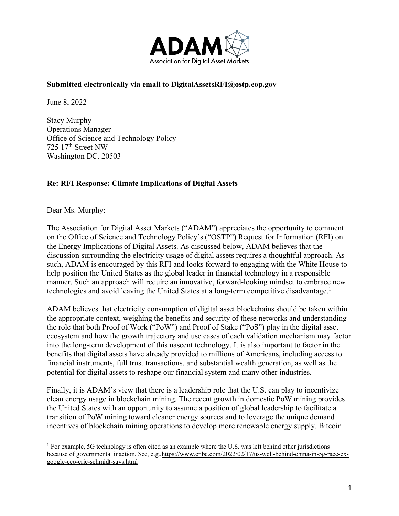

#### **Submitted electronically via email to DigitalAssetsRFI@ostp.eop.gov**

June 8, 2022

Stacy Murphy Operations Manager Office of Science and Technology Policy 725 17th Street NW Washington DC. 20503

#### **Re: RFI Response: Climate Implications of Digital Assets**

Dear Ms. Murphy:

The Association for Digital Asset Markets ("ADAM") appreciates the opportunity to comment on the Office of Science and Technology Policy's ("OSTP") Request for Information (RFI) on the Energy Implications of Digital Assets. As discussed below, ADAM believes that the discussion surrounding the electricity usage of digital assets requires a thoughtful approach. As such, ADAM is encouraged by this RFI and looks forward to engaging with the White House to help position the United States as the global leader in financial technology in a responsible manner. Such an approach will require an innovative, forward-looking mindset to embrace new technologies and avoid leaving the United States at a long-term competitive disadvantage. 1

ADAM believes that electricity consumption of digital asset blockchains should be taken within the appropriate context, weighing the benefits and security of these networks and understanding the role that both Proof of Work ("PoW") and Proof of Stake ("PoS") play in the digital asset ecosystem and how the growth trajectory and use cases of each validation mechanism may factor into the long-term development of this nascent technology. It is also important to factor in the benefits that digital assets have already provided to millions of Americans, including access to financial instruments, full trust transactions, and substantial wealth generation, as well as the potential for digital assets to reshape our financial system and many other industries.

Finally, it is ADAM's view that there is a leadership role that the U.S. can play to incentivize clean energy usage in blockchain mining. The recent growth in domestic PoW mining provides the United States with an opportunity to assume a position of global leadership to facilitate a transition of PoW mining toward cleaner energy sources and to leverage the unique demand incentives of blockchain mining operations to develop more renewable energy supply. Bitcoin

<sup>&</sup>lt;sup>1</sup> For example, 5G technology is often cited as an example where the U.S. was left behind other jurisdictions because of governmental inaction. See, e.g.,https://www.cnbc.com/2022/02/17/us-well-behind-china-in-5g-race-exgoogle-ceo-eric-schmidt-says.html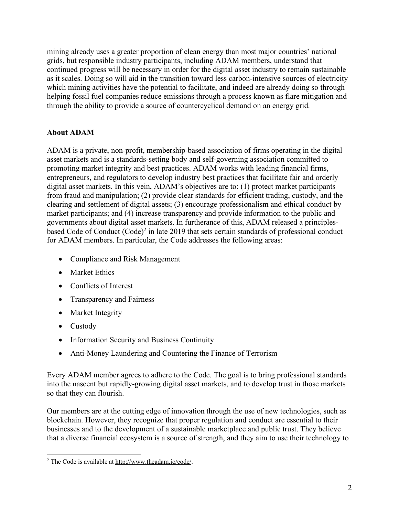mining already uses a greater proportion of clean energy than most major countries' national grids, but responsible industry participants, including ADAM members, understand that continued progress will be necessary in order for the digital asset industry to remain sustainable as it scales. Doing so will aid in the transition toward less carbon-intensive sources of electricity which mining activities have the potential to facilitate, and indeed are already doing so through helping fossil fuel companies reduce emissions through a process known as flare mitigation and through the ability to provide a source of countercyclical demand on an energy grid.

# **About ADAM**

ADAM is a private, non-profit, membership-based association of firms operating in the digital asset markets and is a standards-setting body and self-governing association committed to promoting market integrity and best practices. ADAM works with leading financial firms, entrepreneurs, and regulators to develop industry best practices that facilitate fair and orderly digital asset markets. In this vein, ADAM's objectives are to: (1) protect market participants from fraud and manipulation; (2) provide clear standards for efficient trading, custody, and the clearing and settlement of digital assets; (3) encourage professionalism and ethical conduct by market participants; and (4) increase transparency and provide information to the public and governments about digital asset markets. In furtherance of this, ADAM released a principlesbased Code of Conduct (Code)<sup>2</sup> in late 2019 that sets certain standards of professional conduct for ADAM members. In particular, the Code addresses the following areas:

- Compliance and Risk Management
- Market Ethics
- Conflicts of Interest
- Transparency and Fairness
- Market Integrity
- Custody
- Information Security and Business Continuity
- Anti-Money Laundering and Countering the Finance of Terrorism

Every ADAM member agrees to adhere to the Code. The goal is to bring professional standards into the nascent but rapidly-growing digital asset markets, and to develop trust in those markets so that they can flourish.

Our members are at the cutting edge of innovation through the use of new technologies, such as blockchain. However, they recognize that proper regulation and conduct are essential to their businesses and to the development of a sustainable marketplace and public trust. They believe that a diverse financial ecosystem is a source of strength, and they aim to use their technology to

 <sup>2</sup> The Code is available at http://www.theadam.io/code/.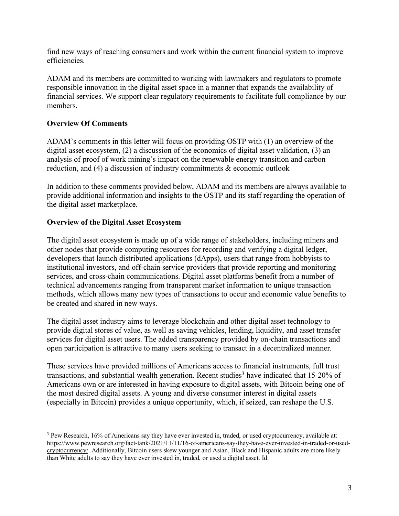find new ways of reaching consumers and work within the current financial system to improve efficiencies.

ADAM and its members are committed to working with lawmakers and regulators to promote responsible innovation in the digital asset space in a manner that expands the availability of financial services. We support clear regulatory requirements to facilitate full compliance by our members.

## **Overview Of Comments**

ADAM's comments in this letter will focus on providing OSTP with (1) an overview of the digital asset ecosystem, (2) a discussion of the economics of digital asset validation, (3) an analysis of proof of work mining's impact on the renewable energy transition and carbon reduction, and  $(4)$  a discussion of industry commitments  $\&$  economic outlook

In addition to these comments provided below, ADAM and its members are always available to provide additional information and insights to the OSTP and its staff regarding the operation of the digital asset marketplace.

## **Overview of the Digital Asset Ecosystem**

The digital asset ecosystem is made up of a wide range of stakeholders, including miners and other nodes that provide computing resources for recording and verifying a digital ledger, developers that launch distributed applications (dApps), users that range from hobbyists to institutional investors, and off-chain service providers that provide reporting and monitoring services, and cross-chain communications. Digital asset platforms benefit from a number of technical advancements ranging from transparent market information to unique transaction methods, which allows many new types of transactions to occur and economic value benefits to be created and shared in new ways.

The digital asset industry aims to leverage blockchain and other digital asset technology to provide digital stores of value, as well as saving vehicles, lending, liquidity, and asset transfer services for digital asset users. The added transparency provided by on-chain transactions and open participation is attractive to many users seeking to transact in a decentralized manner.

These services have provided millions of Americans access to financial instruments, full trust transactions, and substantial wealth generation. Recent studies<sup>3</sup> have indicated that  $15{\text -}20\%$  of Americans own or are interested in having exposure to digital assets, with Bitcoin being one of the most desired digital assets. A young and diverse consumer interest in digital assets (especially in Bitcoin) provides a unique opportunity, which, if seized, can reshape the U.S.

 <sup>3</sup> Pew Research, 16% of Americans say they have ever invested in, traded, or used cryptocurrency, available at: https://www.pewresearch.org/fact-tank/2021/11/11/16-of-americans-say-they-have-ever-invested-in-traded-or-usedcryptocurrency/. Additionally, Bitcoin users skew younger and Asian, Black and Hispanic adults are more likely than White adults to say they have ever invested in, traded, or used a digital asset. Id.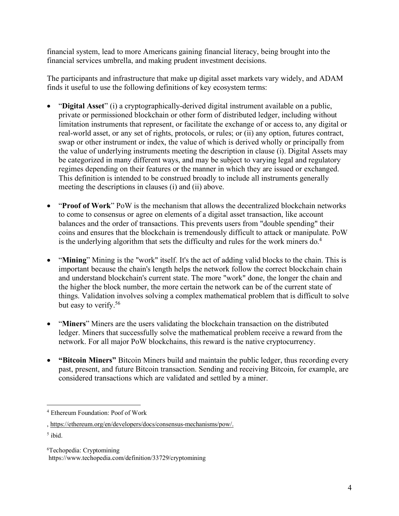financial system, lead to more Americans gaining financial literacy, being brought into the financial services umbrella, and making prudent investment decisions.

The participants and infrastructure that make up digital asset markets vary widely, and ADAM finds it useful to use the following definitions of key ecosystem terms:

- "**Digital Asset**" (i) a cryptographically-derived digital instrument available on a public, private or permissioned blockchain or other form of distributed ledger, including without limitation instruments that represent, or facilitate the exchange of or access to, any digital or real-world asset, or any set of rights, protocols, or rules; or (ii) any option, futures contract, swap or other instrument or index, the value of which is derived wholly or principally from the value of underlying instruments meeting the description in clause (i). Digital Assets may be categorized in many different ways, and may be subject to varying legal and regulatory regimes depending on their features or the manner in which they are issued or exchanged. This definition is intended to be construed broadly to include all instruments generally meeting the descriptions in clauses (i) and (ii) above.
- "**Proof of Work**" PoW is the mechanism that allows the decentralized blockchain networks to come to consensus or agree on elements of a digital asset transaction, like account balances and the order of transactions. This prevents users from "double spending" their coins and ensures that the blockchain is tremendously difficult to attack or manipulate. PoW is the underlying algorithm that sets the difficulty and rules for the work miners do.<sup>4</sup>
- "**Mining**" Mining is the "work" itself. It's the act of adding valid blocks to the chain. This is important because the chain's length helps the network follow the correct blockchain chain and understand blockchain's current state. The more "work" done, the longer the chain and the higher the block number, the more certain the network can be of the current state of things. Validation involves solving a complex mathematical problem that is difficult to solve but easy to verify.<sup>56</sup>
- "**Miners**" Miners are the users validating the blockchain transaction on the distributed ledger. Miners that successfully solve the mathematical problem receive a reward from the network. For all major PoW blockchains, this reward is the native cryptocurrency.
- **"Bitcoin Miners"** Bitcoin Miners build and maintain the public ledger, thus recording every past, present, and future Bitcoin transaction. Sending and receiving Bitcoin, for example, are considered transactions which are validated and settled by a miner.

 <sup>4</sup> Ethereum Foundation: Poof of Work

<sup>,</sup> https://ethereum.org/en/developers/docs/consensus-mechanisms/pow/.

 $<sup>5</sup>$  ibid.</sup>

<sup>6</sup> Techopedia: Cryptomining https://www.techopedia.com/definition/33729/cryptomining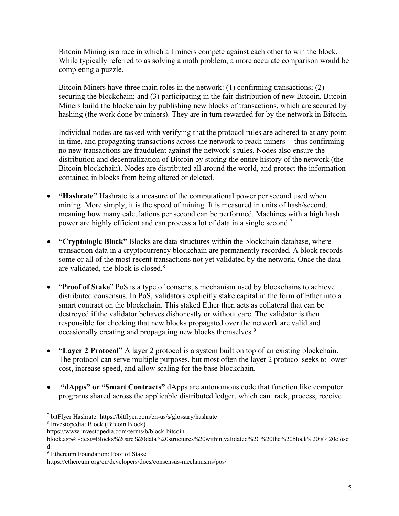Bitcoin Mining is a race in which all miners compete against each other to win the block. While typically referred to as solving a math problem, a more accurate comparison would be completing a puzzle.

Bitcoin Miners have three main roles in the network: (1) confirming transactions; (2) securing the blockchain; and (3) participating in the fair distribution of new Bitcoin. Bitcoin Miners build the blockchain by publishing new blocks of transactions, which are secured by hashing (the work done by miners). They are in turn rewarded for by the network in Bitcoin.

Individual nodes are tasked with verifying that the protocol rules are adhered to at any point in time, and propagating transactions across the network to reach miners -- thus confirming no new transactions are fraudulent against the network's rules. Nodes also ensure the distribution and decentralization of Bitcoin by storing the entire history of the network (the Bitcoin blockchain). Nodes are distributed all around the world, and protect the information contained in blocks from being altered or deleted.

- **"Hashrate"** Hashrate is a measure of the computational power per second used when mining. More simply, it is the speed of mining. It is measured in units of hash/second, meaning how many calculations per second can be performed. Machines with a high hash power are highly efficient and can process a lot of data in a single second.7
- **"Cryptologic Block"** Blocks are data structures within the blockchain database, where transaction data in a cryptocurrency blockchain are permanently recorded. A block records some or all of the most recent transactions not yet validated by the network. Once the data are validated, the block is closed. $8$
- "**Proof of Stake**" PoS is a type of consensus mechanism used by blockchains to achieve distributed consensus. In PoS, validators explicitly stake capital in the form of Ether into a smart contract on the blockchain. This staked Ether then acts as collateral that can be destroyed if the validator behaves dishonestly or without care. The validator is then responsible for checking that new blocks propagated over the network are valid and occasionally creating and propagating new blocks themselves.<sup>9</sup>
- **"Layer 2 Protocol"** A layer 2 protocol is a system built on top of an existing blockchain. The protocol can serve multiple purposes, but most often the layer 2 protocol seeks to lower cost, increase speed, and allow scaling for the base blockchain.
- **"dApps" or "Smart Contracts"** dApps are autonomous code that function like computer programs shared across the applicable distributed ledger, which can track, process, receive

 <sup>7</sup> bitFlyer Hashrate: https://bitflyer.com/en-us/s/glossary/hashrate

<sup>8</sup> Investopedia: Block (Bitcoin Block)

https://www.investopedia.com/terms/b/block-bitcoin-

block.asp#:~:text=Blocks%20are%20data%20structures%20within,validated%2C%20the%20block%20is%20close d.

<sup>9</sup> Ethereum Foundation: Poof of Stake

https://ethereum.org/en/developers/docs/consensus-mechanisms/pos/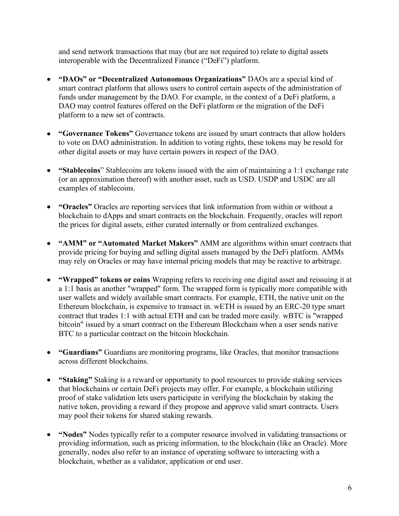and send network transactions that may (but are not required to) relate to digital assets interoperable with the Decentralized Finance ("DeFi") platform.

- **"DAOs" or "Decentralized Autonomous Organizations"** DAOs are a special kind of smart contract platform that allows users to control certain aspects of the administration of funds under management by the DAO. For example, in the context of a DeFi platform, a DAO may control features offered on the DeFi platform or the migration of the DeFi platform to a new set of contracts.
- **"Governance Tokens"** Governance tokens are issued by smart contracts that allow holders to vote on DAO administration. In addition to voting rights, these tokens may be resold for other digital assets or may have certain powers in respect of the DAO.
- **"Stablecoins**" Stablecoins are tokens issued with the aim of maintaining a 1:1 exchange rate (or an approximation thereof) with another asset, such as USD. USDP and USDC are all examples of stablecoins.
- **"Oracles"** Oracles are reporting services that link information from within or without a blockchain to dApps and smart contracts on the blockchain. Frequently, oracles will report the prices for digital assets, either curated internally or from centralized exchanges.
- **"AMM" or "Automated Market Makers"** AMM are algorithms within smart contracts that provide pricing for buying and selling digital assets managed by the DeFi platform. AMMs may rely on Oracles or may have internal pricing models that may be reactive to arbitrage.
- **"Wrapped" tokens or coins** Wrapping refers to receiving one digital asset and reissuing it at a 1:1 basis as another "wrapped" form. The wrapped form is typically more compatible with user wallets and widely available smart contracts. For example, ETH, the native unit on the Ethereum blockchain, is expensive to transact in. wETH is issued by an ERC-20 type smart contract that trades 1:1 with actual ETH and can be traded more easily. wBTC is "wrapped bitcoin" issued by a smart contract on the Ethereum Blockchain when a user sends native BTC to a particular contract on the bitcoin blockchain.
- **"Guardians"** Guardians are monitoring programs, like Oracles, that monitor transactions across different blockchains.
- **"Staking"** Staking is a reward or opportunity to pool resources to provide staking services that blockchains or certain DeFi projects may offer. For example, a blockchain utilizing proof of stake validation lets users participate in verifying the blockchain by staking the native token, providing a reward if they propose and approve valid smart contracts. Users may pool their tokens for shared staking rewards.
- **"Nodes"** Nodes typically refer to a computer resource involved in validating transactions or providing information, such as pricing information, to the blockchain (like an Oracle). More generally, nodes also refer to an instance of operating software to interacting with a blockchain, whether as a validator, application or end user.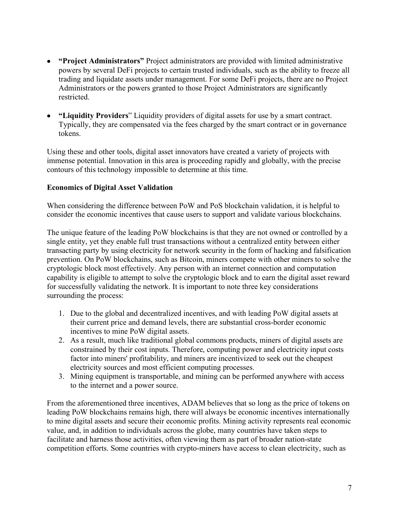- **"Project Administrators"** Project administrators are provided with limited administrative powers by several DeFi projects to certain trusted individuals, such as the ability to freeze all trading and liquidate assets under management. For some DeFi projects, there are no Project Administrators or the powers granted to those Project Administrators are significantly restricted.
- **"Liquidity Providers**" Liquidity providers of digital assets for use by a smart contract. Typically, they are compensated via the fees charged by the smart contract or in governance tokens.

Using these and other tools, digital asset innovators have created a variety of projects with immense potential. Innovation in this area is proceeding rapidly and globally, with the precise contours of this technology impossible to determine at this time.

### **Economics of Digital Asset Validation**

When considering the difference between PoW and PoS blockchain validation, it is helpful to consider the economic incentives that cause users to support and validate various blockchains.

The unique feature of the leading PoW blockchains is that they are not owned or controlled by a single entity, yet they enable full trust transactions without a centralized entity between either transacting party by using electricity for network security in the form of hacking and falsification prevention. On PoW blockchains, such as Bitcoin, miners compete with other miners to solve the cryptologic block most effectively. Any person with an internet connection and computation capability is eligible to attempt to solve the cryptologic block and to earn the digital asset reward for successfully validating the network. It is important to note three key considerations surrounding the process:

- 1. Due to the global and decentralized incentives, and with leading PoW digital assets at their current price and demand levels, there are substantial cross-border economic incentives to mine PoW digital assets.
- 2. As a result, much like traditional global commons products, miners of digital assets are constrained by their cost inputs. Therefore, computing power and electricity input costs factor into miners' profitability, and miners are incentivized to seek out the cheapest electricity sources and most efficient computing processes.
- 3. Mining equipment is transportable, and mining can be performed anywhere with access to the internet and a power source.

From the aforementioned three incentives, ADAM believes that so long as the price of tokens on leading PoW blockchains remains high, there will always be economic incentives internationally to mine digital assets and secure their economic profits. Mining activity represents real economic value, and, in addition to individuals across the globe, many countries have taken steps to facilitate and harness those activities, often viewing them as part of broader nation-state competition efforts. Some countries with crypto-miners have access to clean electricity, such as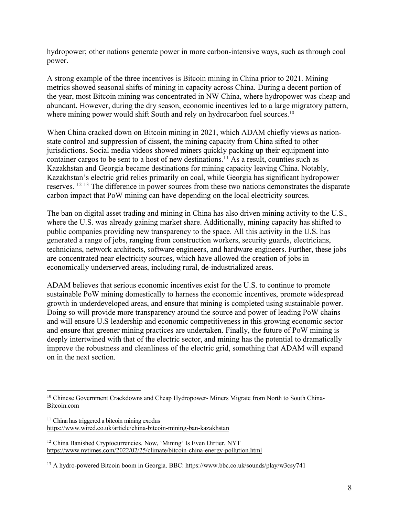hydropower; other nations generate power in more carbon-intensive ways, such as through coal power.

A strong example of the three incentives is Bitcoin mining in China prior to 2021. Mining metrics showed seasonal shifts of mining in capacity across China. During a decent portion of the year, most Bitcoin mining was concentrated in NW China, where hydropower was cheap and abundant. However, during the dry season, economic incentives led to a large migratory pattern, where mining power would shift South and rely on hydrocarbon fuel sources.<sup>10</sup>

When China cracked down on Bitcoin mining in 2021, which ADAM chiefly views as nationstate control and suppression of dissent, the mining capacity from China sifted to other jurisdictions. Social media videos showed miners quickly packing up their equipment into container cargos to be sent to a host of new destinations.<sup>11</sup> As a result, counties such as Kazakhstan and Georgia became destinations for mining capacity leaving China. Notably, Kazakhstan's electric grid relies primarily on coal, while Georgia has significant hydropower reserves. 12 <sup>13</sup> The difference in power sources from these two nations demonstrates the disparate carbon impact that PoW mining can have depending on the local electricity sources.

The ban on digital asset trading and mining in China has also driven mining activity to the U.S., where the U.S. was already gaining market share. Additionally, mining capacity has shifted to public companies providing new transparency to the space. All this activity in the U.S. has generated a range of jobs, ranging from construction workers, security guards, electricians, technicians, network architects, software engineers, and hardware engineers. Further, these jobs are concentrated near electricity sources, which have allowed the creation of jobs in economically underserved areas, including rural, de-industrialized areas.

ADAM believes that serious economic incentives exist for the U.S. to continue to promote sustainable PoW mining domestically to harness the economic incentives, promote widespread growth in underdeveloped areas, and ensure that mining is completed using sustainable power. Doing so will provide more transparency around the source and power of leading PoW chains and will ensure U.S leadership and economic competitiveness in this growing economic sector and ensure that greener mining practices are undertaken. Finally, the future of PoW mining is deeply intertwined with that of the electric sector, and mining has the potential to dramatically improve the robustness and cleanliness of the electric grid, something that ADAM will expand on in the next section.

<sup>&</sup>lt;sup>10</sup> Chinese Government Crackdowns and Cheap Hydropower- Miners Migrate from North to South China-Bitcoin.com

 $11$  China has triggered a bitcoin mining exodus https://www.wired.co.uk/article/china-bitcoin-mining-ban-kazakhstan

<sup>&</sup>lt;sup>12</sup> China Banished Cryptocurrencies. Now, 'Mining' Is Even Dirtier. NYT https://www.nytimes.com/2022/02/25/climate/bitcoin-china-energy-pollution.html

<sup>13</sup> A hydro-powered Bitcoin boom in Georgia. BBC: https://www.bbc.co.uk/sounds/play/w3csy741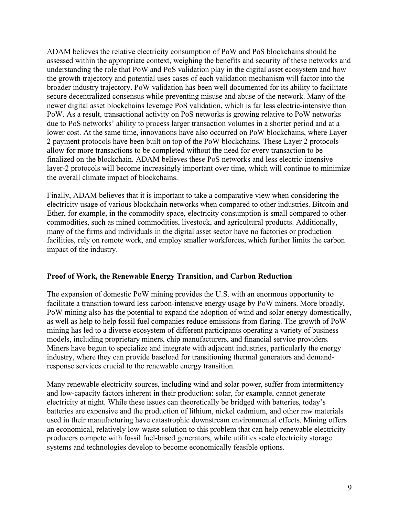ADAM believes the relative electricity consumption of PoW and PoS blockchains should be assessed within the appropriate context, weighing the benefits and security of these networks and understanding the role that PoW and PoS validation play in the digital asset ecosystem and how the growth trajectory and potential uses cases of each validation mechanism will factor into the broader industry trajectory. PoW validation has been well documented for its ability to facilitate secure decentralized consensus while preventing misuse and abuse of the network. Many of the newer digital asset blockchains leverage PoS validation, which is far less electric-intensive than PoW. As a result, transactional activity on PoS networks is growing relative to PoW networks due to PoS networks' ability to process larger transaction volumes in a shorter period and at a lower cost. At the same time, innovations have also occurred on PoW blockchains, where Layer 2 payment protocols have been built on top of the PoW blockchains. These Layer 2 protocols allow for more transactions to be completed without the need for every transaction to be finalized on the blockchain. ADAM believes these PoS networks and less electric-intensive layer-2 protocols will become increasingly important over time, which will continue to minimize the overall climate impact of blockchains.

Finally, ADAM believes that it is important to take a comparative view when considering the electricity usage of various blockchain networks when compared to other industries. Bitcoin and Ether, for example, in the commodity space, electricity consumption is small compared to other commodities, such as mined commodities, livestock, and agricultural products. Additionally, many of the firms and individuals in the digital asset sector have no factories or production facilities, rely on remote work, and employ smaller workforces, which further limits the carbon impact of the industry.

### **Proof of Work, the Renewable Energy Transition, and Carbon Reduction**

The expansion of domestic PoW mining provides the U.S. with an enormous opportunity to facilitate a transition toward less carbon-intensive energy usage by PoW miners. More broadly, PoW mining also has the potential to expand the adoption of wind and solar energy domestically, as well as help to help fossil fuel companies reduce emissions from flaring. The growth of PoW mining has led to a diverse ecosystem of different participants operating a variety of business models, including proprietary miners, chip manufacturers, and financial service providers. Miners have begun to specialize and integrate with adjacent industries, particularly the energy industry, where they can provide baseload for transitioning thermal generators and demandresponse services crucial to the renewable energy transition.

Many renewable electricity sources, including wind and solar power, suffer from intermittency and low-capacity factors inherent in their production: solar, for example, cannot generate electricity at night. While these issues can theoretically be bridged with batteries, today's batteries are expensive and the production of lithium, nickel cadmium, and other raw materials used in their manufacturing have catastrophic downstream environmental effects. Mining offers an economical, relatively low-waste solution to this problem that can help renewable electricity producers compete with fossil fuel-based generators, while utilities scale electricity storage systems and technologies develop to become economically feasible options.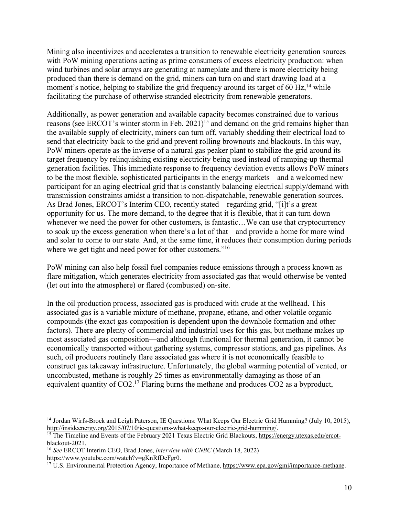Mining also incentivizes and accelerates a transition to renewable electricity generation sources with PoW mining operations acting as prime consumers of excess electricity production: when wind turbines and solar arrays are generating at nameplate and there is more electricity being produced than there is demand on the grid, miners can turn on and start drawing load at a moment's notice, helping to stabilize the grid frequency around its target of 60 Hz,<sup>14</sup> while facilitating the purchase of otherwise stranded electricity from renewable generators.

Additionally, as power generation and available capacity becomes constrained due to various reasons (see ERCOT's winter storm in Feb. 2021)<sup>15</sup> and demand on the grid remains higher than the available supply of electricity, miners can turn off, variably shedding their electrical load to send that electricity back to the grid and prevent rolling brownouts and blackouts. In this way, PoW miners operate as the inverse of a natural gas peaker plant to stabilize the grid around its target frequency by relinquishing existing electricity being used instead of ramping-up thermal generation facilities. This immediate response to frequency deviation events allows PoW miners to be the most flexible, sophisticated participants in the energy markets—and a welcomed new participant for an aging electrical grid that is constantly balancing electrical supply/demand with transmission constraints amidst a transition to non-dispatchable, renewable generation sources. As Brad Jones, ERCOT's Interim CEO, recently stated—regarding grid, "[i]t's a great opportunity for us. The more demand, to the degree that it is flexible, that it can turn down whenever we need the power for other customers, is fantastic...We can use that cryptocurrency to soak up the excess generation when there's a lot of that—and provide a home for more wind and solar to come to our state. And, at the same time, it reduces their consumption during periods where we get tight and need power for other customers."<sup>16</sup>

PoW mining can also help fossil fuel companies reduce emissions through a process known as flare mitigation, which generates electricity from associated gas that would otherwise be vented (let out into the atmosphere) or flared (combusted) on-site.

In the oil production process, associated gas is produced with crude at the wellhead. This associated gas is a variable mixture of methane, propane, ethane, and other volatile organic compounds (the exact gas composition is dependent upon the downhole formation and other factors). There are plenty of commercial and industrial uses for this gas, but methane makes up most associated gas composition—and although functional for thermal generation, it cannot be economically transported without gathering systems, compressor stations, and gas pipelines. As such, oil producers routinely flare associated gas where it is not economically feasible to construct gas takeaway infrastructure. Unfortunately, the global warming potential of vented, or uncombusted, methane is roughly 25 times as environmentally damaging as those of an equivalent quantity of  $CO2<sup>17</sup>$  Flaring burns the methane and produces  $CO2$  as a byproduct,

<sup>&</sup>lt;sup>14</sup> Jordan Wirfs-Brock and Leigh Paterson, IE Questions: What Keeps Our Electric Grid Humming? (July 10, 2015), http://insideenergy.org/2015/07/10/ie-questions-what-keeps-our-electric-grid-humming/.

<sup>&</sup>lt;sup>15</sup> The Timeline and Events of the February 2021 Texas Electric Grid Blackouts, https://energy.utexas.edu/ercotblackout-2021.

<sup>&</sup>lt;sup>16</sup> *See* ERCOT Interim CEO, Brad Jones, *interview with CNBC* (March 18, 2022) https://www.youtube.com/watch?v=gKnRfDeFgr0.

 $h^{\text{17}}$  U.S. Environmental Protection Agency, Importance of Methane, https://www.epa.gov/gmi/importance-methane.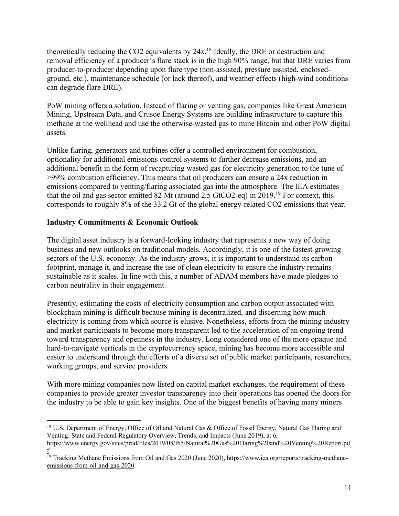theoretically reducing the CO2 equivalents by 24x.18 Ideally, the DRE or destruction and removal efficiency of a producer's flare stack is in the high 90% range, but that DRE varies from producer-to-producer depending upon flare type (non-assisted, pressure assisted, enclosedground, etc.), maintenance schedule (or lack thereof), and weather effects (high-wind conditions can degrade flare DRE).

PoW mining offers a solution. Instead of flaring or venting gas, companies like Great American Mining, Upstream Data, and Crusoe Energy Systems are building infrastructure to capture this methane at the wellhead and use the otherwise-wasted gas to mine Bitcoin and other PoW digital assets.

Unlike flaring, generators and turbines offer a controlled environment for combustion, optionality for additional emissions control systems to further decrease emissions, and an additional benefit in the form of recapturing wasted gas for electricity generation to the tune of >99% combustion efficiency. This means that oil producers can ensure a 24x reduction in emissions compared to venting/flaring associated gas into the atmosphere. The IEA estimates that the oil and gas sector emitted 82 Mt (around 2.5 GtCO2-eq) in 2019.19 For context, this corresponds to roughly 8% of the 33.2 Gt of the global energy-related CO2 emissions that year.

# **Industry Commitments & Economic Outlook**

The digital asset industry is a forward-looking industry that represents a new way of doing business and new outlooks on traditional models. Accordingly, it is one of the fastest-growing sectors of the U.S. economy. As the industry grows, it is important to understand its carbon footprint, manage it, and increase the use of clean electricity to ensure the industry remains sustainable as it scales. In line with this, a number of ADAM members have made pledges to carbon neutrality in their engagement.

Presently, estimating the costs of electricity consumption and carbon output associated with blockchain mining is difficult because mining is decentralized, and discerning how much electricity is coming from which source is elusive. Nonetheless, efforts from the mining industry and market participants to become more transparent led to the acceleration of an ongoing trend toward transparency and openness in the industry. Long considered one of the more opaque and hard-to-navigate verticals in the cryptocurrency space, mining has become more accessible and easier to understand through the efforts of a diverse set of public market participants, researchers, working groups, and service providers.

With more mining companies now listed on capital market exchanges, the requirement of these companies to provide greater investor transparency into their operations has opened the doors for the industry to be able to gain key insights. One of the biggest benefits of having many miners

<sup>&</sup>lt;sup>18</sup> U.S. Department of Energy, Office of Oil and Natural Gas & Office of Fossil Energy, Natural Gas Flaring and Venting: State and Federal Regulatory Overview, Trends, and Impacts (June 2019), at 6,

https://www.energy.gov/sites/prod/files/2019/08/f65/Natural%20Gas%20Flaring%20and%20Venting%20Report.pd f.

<sup>&</sup>lt;sup>19</sup> Tracking Methane Emissions from Oil and Gas 2020 (June 2020), https://www.iea.org/reports/tracking-methaneemissions-from-oil-and-gas-2020.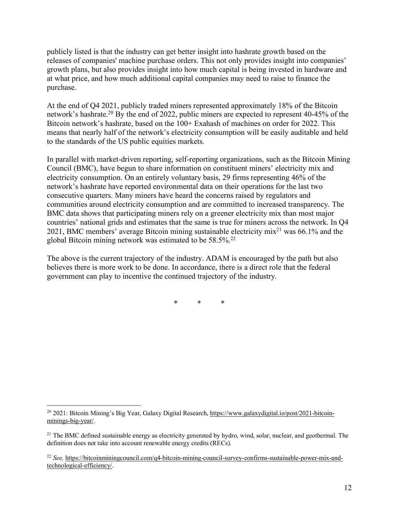publicly listed is that the industry can get better insight into hashrate growth based on the releases of companies' machine purchase orders. This not only provides insight into companies' growth plans, but also provides insight into how much capital is being invested in hardware and at what price, and how much additional capital companies may need to raise to finance the purchase.

At the end of Q4 2021, publicly traded miners represented approximately 18% of the Bitcoin network's hashrate.<sup>20</sup> By the end of 2022, public miners are expected to represent 40-45% of the Bitcoin network's hashrate, based on the 100+ Exahash of machines on order for 2022. This means that nearly half of the network's electricity consumption will be easily auditable and held to the standards of the US public equities markets.

In parallel with market-driven reporting, self-reporting organizations, such as the Bitcoin Mining Council (BMC), have begun to share information on constituent miners' electricity mix and electricity consumption. On an entirely voluntary basis, 29 firms representing 46% of the network's hashrate have reported environmental data on their operations for the last two consecutive quarters. Many miners have heard the concerns raised by regulators and communities around electricity consumption and are committed to increased transparency. The BMC data shows that participating miners rely on a greener electricity mix than most major countries' national grids and estimates that the same is true for miners across the network. In Q4 2021, BMC members' average Bitcoin mining sustainable electricity mix21 was 66.1% and the global Bitcoin mining network was estimated to be 58.5%.22

The above is the current trajectory of the industry. ADAM is encouraged by the path but also believes there is more work to be done. In accordance, there is a direct role that the federal government can play to incentive the continued trajectory of the industry.

\* \* \*

<sup>&</sup>lt;sup>20</sup> 2021: Bitcoin Mining's Big Year, Galaxy Digital Research, https://www.galaxydigital.io/post/2021-bitcoinminings-big-year/.

<sup>&</sup>lt;sup>21</sup> The BMC defined sustainable energy as electricity generated by hydro, wind, solar, nuclear, and geothermal. The definition does not take into account renewable energy credits (RECs).

<sup>22</sup> *See,* https://bitcoinminingcouncil.com/q4-bitcoin-mining-council-survey-confirms-sustainable-power-mix-andtechnological-efficiency/.